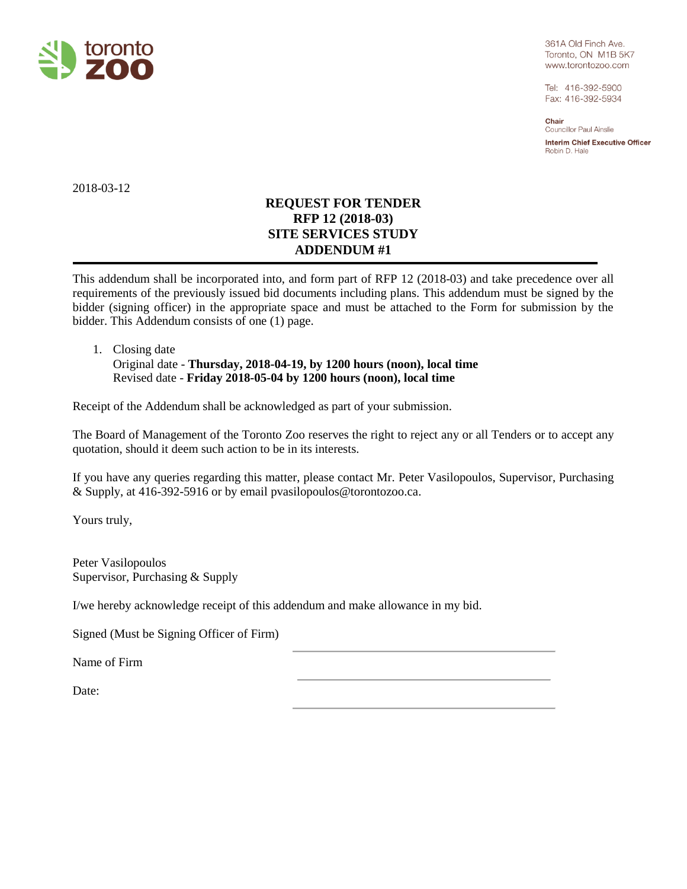

361A Old Finch Ave. Toronto, ON M1B 5K7 www.torontozoo.com

Tel: 416-392-5900 Fax: 416-392-5934

Chair Councillor Paul Ainslie

**Interim Chief Executive Officer** Robin D. Hale

2018-03-12

# **REQUEST FOR TENDER RFP 12 (2018-03) SITE SERVICES STUDY ADDENDUM #1**

This addendum shall be incorporated into, and form part of RFP 12 (2018-03) and take precedence over all requirements of the previously issued bid documents including plans. This addendum must be signed by the bidder (signing officer) in the appropriate space and must be attached to the Form for submission by the bidder. This Addendum consists of one (1) page.

## 1. Closing date Original date - **Thursday, 2018-04-19, by 1200 hours (noon), local time** Revised date - **Friday 2018-05-04 by 1200 hours (noon), local time**

Receipt of the Addendum shall be acknowledged as part of your submission.

The Board of Management of the Toronto Zoo reserves the right to reject any or all Tenders or to accept any quotation, should it deem such action to be in its interests.

If you have any queries regarding this matter, please contact Mr. Peter Vasilopoulos, Supervisor, Purchasing & Supply, at 416-392-5916 or by email pvasilopoulos@torontozoo.ca.

Yours truly,

Peter Vasilopoulos Supervisor, Purchasing & Supply

I/we hereby acknowledge receipt of this addendum and make allowance in my bid.

Signed (Must be Signing Officer of Firm)

Name of Firm

Date: